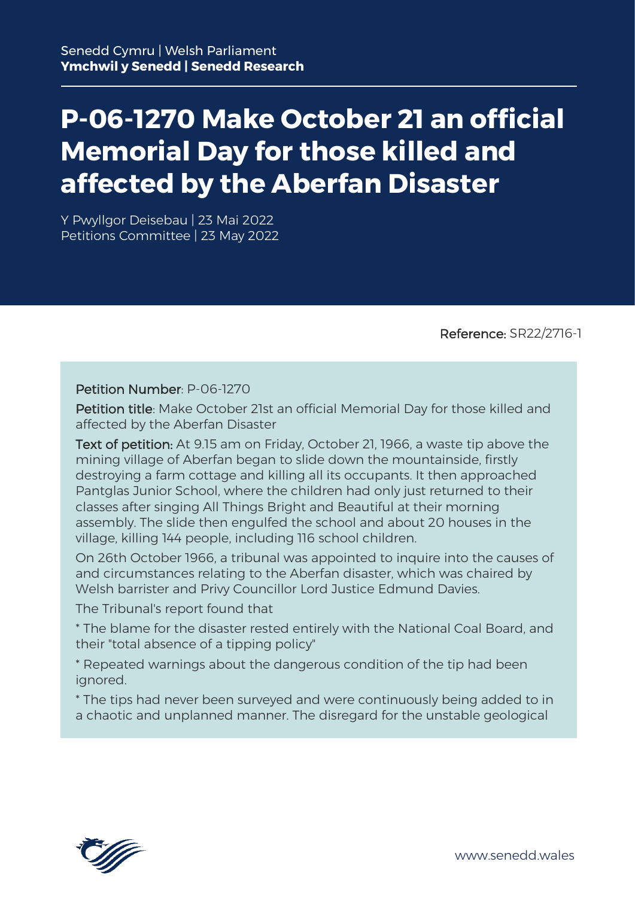# **P-06-1270 Make October 21 an official Memorial Day for those killed and affected by the Aberfan Disaster**

Y Pwyllgor Deisebau | 23 Mai 2022 Petitions Committee | 23 May 2022

Reference: SR22/2716-1

#### Petition Number: P-06-1270

Petition title: Make October 21st an official Memorial Day for those killed and affected by the Aberfan Disaster

Text of petition: At 9.15 am on Friday, October 21, 1966, a waste tip above the mining village of Aberfan began to slide down the mountainside, firstly destroying a farm cottage and killing all its occupants. It then approached Pantglas Junior School, where the children had only just returned to their classes after singing All Things Bright and Beautiful at their morning assembly. The slide then engulfed the school and about 20 houses in the village, killing 144 people, including 116 school children.

On 26th October 1966, a tribunal was appointed to inquire into the causes of and circumstances relating to the Aberfan disaster, which was chaired by Welsh barrister and Privy Councillor Lord Justice Edmund Davies.

The Tribunal's report found that

\* The blame for the disaster rested entirely with the National Coal Board, and their "total absence of a tipping policy"

\* Repeated warnings about the dangerous condition of the tip had been ignored.

\* The tips had never been surveyed and were continuously being added to in a chaotic and unplanned manner. The disregard for the unstable geological

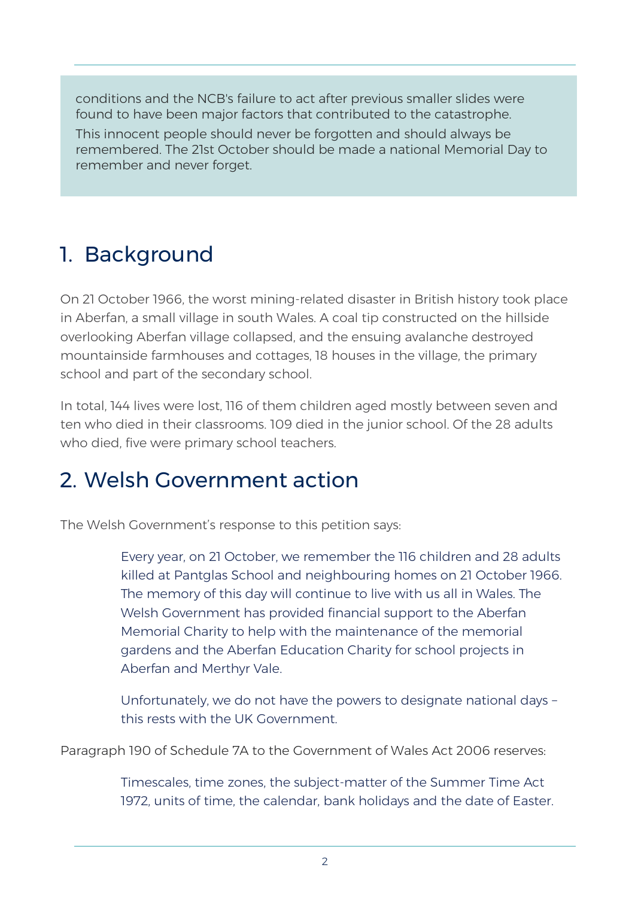conditions and the NCB's failure to act after previous smaller slides were found to have been major factors that contributed to the catastrophe. This innocent people should never be forgotten and should always be remembered. The 21st October should be made a national Memorial Day to remember and never forget.

### 1. Background

On 21 October 1966, the worst mining-related disaster in British history took place in Aberfan, a small village in south Wales. A coal tip constructed on the hillside overlooking Aberfan village collapsed, and the ensuing avalanche destroyed mountainside farmhouses and cottages, 18 houses in the village, the primary school and part of the secondary school.

In total, 144 lives were lost, 116 of them children aged mostly between seven and ten who died in their classrooms. 109 died in the junior school. Of the 28 adults who died, five were primary school teachers.

#### 2. Welsh Government action

The Welsh Government's response to this petition says:

Every year, on 21 October, we remember the 116 children and 28 adults killed at Pantglas School and neighbouring homes on 21 October 1966. The memory of this day will continue to live with us all in Wales. The Welsh Government has provided financial support to the Aberfan Memorial Charity to help with the maintenance of the memorial gardens and the Aberfan Education Charity for school projects in Aberfan and Merthyr Vale.

Unfortunately, we do not have the powers to designate national days – this rests with the UK Government.

Paragraph 190 of Schedule 7A to the Government of Wales Act 2006 reserves:

Timescales, time zones, the subject-matter of the Summer Time Act 1972, units of time, the calendar, bank holidays and the date of Easter.